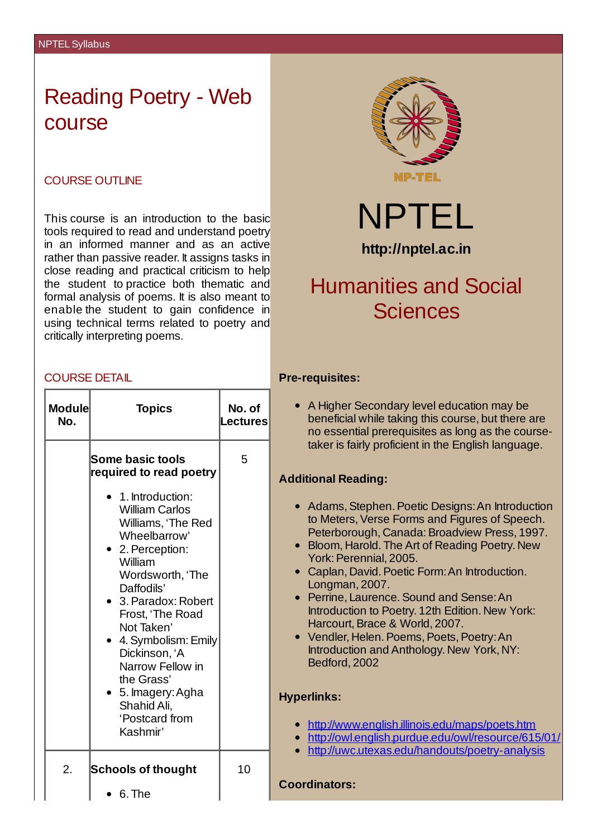## Reading Poetry - Web course

## COURSE OUTLINE

This course is an introduction to the basic tools required to read and understand poetry in an informed manner and as an active rather than passive reader. It assigns tasks in close reading and practical criticism to help the student to practice both thematic and formal analysis of poems. It is also meant to enable the student to gain confidence in using technical terms related to poetry and critically interpreting poems.

#### COURSE DETAIL

| <b>Module</b> | <b>Topics</b>                                                                                                                                                                                                                                                                                                                                                                                 | No. of               |                         |
|---------------|-----------------------------------------------------------------------------------------------------------------------------------------------------------------------------------------------------------------------------------------------------------------------------------------------------------------------------------------------------------------------------------------------|----------------------|-------------------------|
| No.           | <b>Some basic tools</b><br>required to read poetry<br>1. Introduction:<br><b>William Carlos</b><br>Williams, 'The Red<br>Wheelbarrow'<br>• 2. Perception:<br>William<br>Wordsworth, 'The<br>Daffodils'<br>3. Paradox: Robert<br>Frost, 'The Road<br>Not Taken'<br>4. Symbolism: Emily<br>Dickinson, 'A<br>Narrow Fellow in<br>the Grass'<br>5. Imagery: Agha<br>Shahid Ali,<br>'Postcard from | <b>Lectures</b><br>5 | <b>Ad</b><br><b>Hyp</b> |
| 2.            | Kashmir'<br>Schools of thought<br>6. The                                                                                                                                                                                                                                                                                                                                                      | 10                   | Co                      |



NPTEL **http://nptel.ac.in**

# Humanities and Social **Sciences**

## **Pre-requisites:**

A Higher Secondary level education may be beneficial while taking this course, but there are no essential prerequisites as long as the coursetaker is fairly proficient in the English language.

#### **Additional Reading:**

- Adams, Stephen. Poetic Designs: An Introduction to Meters, Verse Forms and Figures of Speech. Peterborough, Canada: Broadview Press, 1997.
- Bloom, Harold. The Art of Reading Poetry. New York: Perennial, 2005.
- Caplan, David. Poetic Form: An Introduction. Longman, 2007.
- Perrine, Laurence.Sound and Sense:An Introduction to Poetry. 12th Edition. New York: Harcourt, Brace & World, 2007.
- Vendler, Helen. Poems, Poets, Poetry: An Introduction and Anthology. New York, NY: Bedford, 2002

## **Hyperlinks:**

- <http://www.english.illinois.edu/maps/poets.htm>
- <http://owl.english.purdue.edu/owl/resource/615/01/>
- <http://uwc.utexas.edu/handouts/poetry-analysis>

#### **Coordinators:**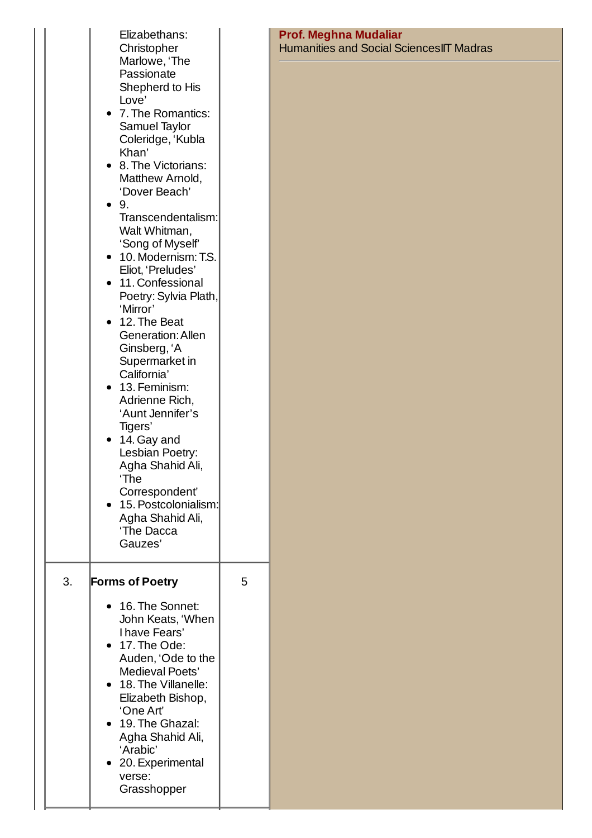| Elizabethans:<br>Christopher<br>Marlowe, 'The<br>Passionate<br>Shepherd to His<br>Love'<br>7. The Romantics:<br>Samuel Taylor<br>Coleridge, 'Kubla<br>Khan'<br>8. The Victorians:<br>Matthew Arnold,<br>'Dover Beach'<br>9.<br>Walt Whitman,<br>'Song of Myself'<br>10. Modernism: T.S.<br>Eliot, 'Preludes'<br>11. Confessional<br>'Mirror'<br>12. The Beat<br><b>Generation: Allen</b><br>Ginsberg, 'A<br>Supermarket in<br>California'<br>13. Feminism:<br>Adrienne Rich,<br>'Aunt Jennifer's<br>Tigers'<br>14. Gay and<br>Lesbian Poetry:<br>Agha Shahid Ali,<br>'The<br>Correspondent'<br>Agha Shahid Ali,<br>'The Dacca<br>Gauzes' |                                                                                    |
|------------------------------------------------------------------------------------------------------------------------------------------------------------------------------------------------------------------------------------------------------------------------------------------------------------------------------------------------------------------------------------------------------------------------------------------------------------------------------------------------------------------------------------------------------------------------------------------------------------------------------------------|------------------------------------------------------------------------------------|
| <b>Forms of Poetry</b>                                                                                                                                                                                                                                                                                                                                                                                                                                                                                                                                                                                                                   | 5                                                                                  |
| 16. The Sonnet:<br>John Keats, 'When<br>I have Fears'<br>17. The Ode:<br>Auden, 'Ode to the<br>Medieval Poets'<br>18. The Villanelle:<br>Elizabeth Bishop,<br>'One Art'<br>19. The Ghazal:<br>Agha Shahid Ali,<br>'Arabic'<br>20. Experimental<br>verse:                                                                                                                                                                                                                                                                                                                                                                                 |                                                                                    |
|                                                                                                                                                                                                                                                                                                                                                                                                                                                                                                                                                                                                                                          | Transcendentalism:<br>Poetry: Sylvia Plath,<br>15. Postcolonialism:<br>Grasshopper |

### **Prof. Meghna Mudaliar** Humanities and Social SciencesIIT Madras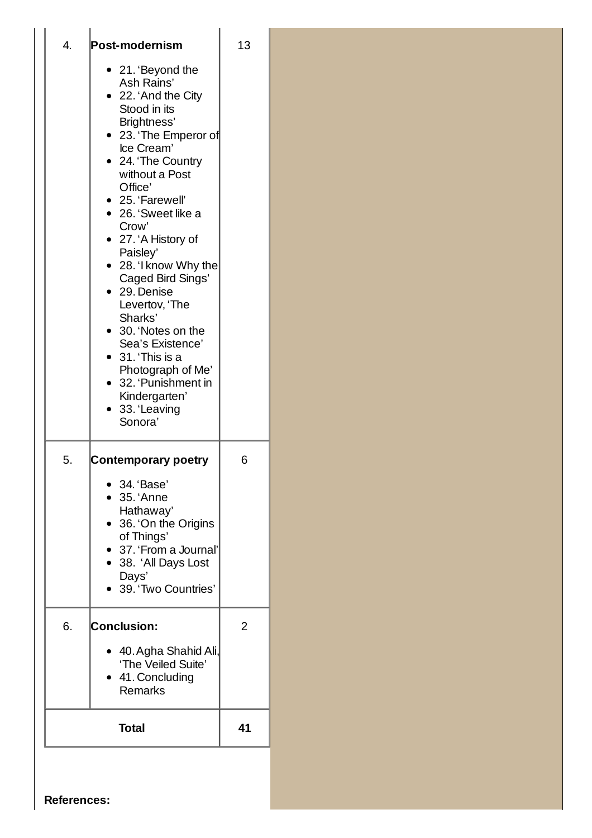|    | Post-modernism                                                                                                                                                                                                                                                                                                                                                                                                                                                                                       | 13 |
|----|------------------------------------------------------------------------------------------------------------------------------------------------------------------------------------------------------------------------------------------------------------------------------------------------------------------------------------------------------------------------------------------------------------------------------------------------------------------------------------------------------|----|
|    | • 21. 'Beyond the<br>Ash Rains'<br>22. 'And the City<br>Stood in its<br>Brightness'<br>23. 'The Emperor of<br>Ice Cream'<br>24. 'The Country<br>without a Post<br>Office'<br>• 25. 'Farewell'<br>26. 'Sweet like a<br>Crow'<br>27. 'A History of<br>Paisley'<br>28. 'I know Why the<br>Caged Bird Sings'<br>29. Denise<br>Levertov, 'The<br>Sharks'<br>30. 'Notes on the<br>Sea's Existence'<br>31. This is a<br>Photograph of Me'<br>32. 'Punishment in<br>Kindergarten'<br>33. 'Leaving<br>Sonora' |    |
| 5. | Contemporary poetry<br>34. 'Base'<br>35. 'Anne<br>Hathaway'<br>36. 'On the Origins<br>of Things'<br>37. 'From a Journal'<br>• 38. 'All Days Lost<br>Days'<br>39. 'Two Countries'                                                                                                                                                                                                                                                                                                                     | 6  |
| 6. | <b>Conclusion:</b><br>40. Agha Shahid Ali,<br>'The Veiled Suite'<br>41. Concluding<br><b>Remarks</b>                                                                                                                                                                                                                                                                                                                                                                                                 | 2  |
|    | <b>Total</b>                                                                                                                                                                                                                                                                                                                                                                                                                                                                                         | 41 |

**References:**